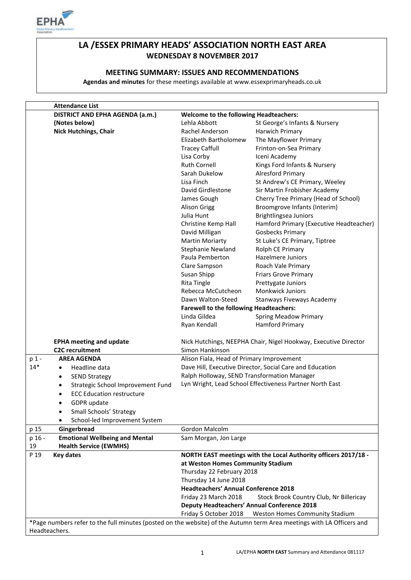

## **LA /ESSEX PRIMARY HEADS' ASSOCIATION NORTH EAST AREA WEDNESDAY 8 NOVEMBER 2017**

#### **MEETING SUMMARY: ISSUES AND RECOMMENDATIONS**

**Agendas and minutes** for these meetings available at www.essexprimaryheads.co.uk

|                                                                                                                       | <b>Attendance List</b>                         |                                                                                    |                                                          |  |  |
|-----------------------------------------------------------------------------------------------------------------------|------------------------------------------------|------------------------------------------------------------------------------------|----------------------------------------------------------|--|--|
|                                                                                                                       | DISTRICT AND EPHA AGENDA (a.m.)                | <b>Welcome to the following Headteachers:</b>                                      |                                                          |  |  |
|                                                                                                                       | (Notes below)                                  | Lehla Abbott                                                                       | St George's Infants & Nursery                            |  |  |
|                                                                                                                       | <b>Nick Hutchings, Chair</b>                   | Rachel Anderson                                                                    | Harwich Primary                                          |  |  |
|                                                                                                                       |                                                | Elizabeth Bartholomew                                                              | The Mayflower Primary                                    |  |  |
|                                                                                                                       |                                                | <b>Tracey Caffull</b>                                                              | Frinton-on-Sea Primary                                   |  |  |
|                                                                                                                       |                                                | Lisa Corby                                                                         | Iceni Academy                                            |  |  |
|                                                                                                                       |                                                | <b>Ruth Cornell</b>                                                                | Kings Ford Infants & Nursery                             |  |  |
|                                                                                                                       |                                                | Sarah Dukelow                                                                      | <b>Alresford Primary</b>                                 |  |  |
|                                                                                                                       |                                                | Lisa Finch                                                                         | St Andrew's CE Primary, Weeley                           |  |  |
|                                                                                                                       |                                                | David Girdlestone                                                                  | Sir Martin Frobisher Academy                             |  |  |
|                                                                                                                       |                                                | James Gough                                                                        | Cherry Tree Primary (Head of School)                     |  |  |
|                                                                                                                       |                                                |                                                                                    | Broomgrove Infants (Interim)                             |  |  |
|                                                                                                                       |                                                | <b>Alison Grigg</b><br>Julia Hunt                                                  |                                                          |  |  |
|                                                                                                                       |                                                |                                                                                    | <b>Brightlingsea Juniors</b>                             |  |  |
|                                                                                                                       |                                                | Christine Kemp Hall                                                                | Hamford Primary (Executive Headteacher)                  |  |  |
|                                                                                                                       |                                                | David Milligan                                                                     | <b>Gosbecks Primary</b>                                  |  |  |
|                                                                                                                       |                                                | Martin Moriarty                                                                    | St Luke's CE Primary, Tiptree                            |  |  |
|                                                                                                                       |                                                | <b>Stephanie Newland</b>                                                           | Rolph CE Primary                                         |  |  |
|                                                                                                                       |                                                | Paula Pemberton                                                                    | Hazelmere Juniors                                        |  |  |
|                                                                                                                       |                                                | Clare Sampson                                                                      | Roach Vale Primary                                       |  |  |
|                                                                                                                       |                                                | Susan Shipp                                                                        | <b>Friars Grove Primary</b>                              |  |  |
|                                                                                                                       |                                                | <b>Rita Tingle</b>                                                                 | Prettygate Juniors                                       |  |  |
|                                                                                                                       |                                                | Rebecca McCutcheon                                                                 | <b>Monkwick Juniors</b>                                  |  |  |
|                                                                                                                       |                                                | Dawn Walton-Steed                                                                  | Stanways Fiveways Academy                                |  |  |
|                                                                                                                       |                                                | <b>Farewell to the following Headteachers:</b>                                     |                                                          |  |  |
|                                                                                                                       |                                                | Linda Gildea                                                                       | <b>Spring Meadow Primary</b>                             |  |  |
|                                                                                                                       |                                                | Ryan Kendall                                                                       | <b>Hamford Primary</b>                                   |  |  |
| <b>EPHA meeting and update</b><br><b>C2C</b> recruitment                                                              |                                                | Nick Hutchings, NEEPHA Chair, Nigel Hookway, Executive Director<br>Simon Hankinson |                                                          |  |  |
| p 1 -                                                                                                                 | <b>AREA AGENDA</b>                             | Alison Fiala, Head of Primary Improvement                                          |                                                          |  |  |
| $14*$                                                                                                                 | Headline data<br>$\bullet$                     |                                                                                    | Dave Hill, Executive Director, Social Care and Education |  |  |
|                                                                                                                       |                                                | Ralph Holloway, SEND Transformation Manager                                        |                                                          |  |  |
|                                                                                                                       | <b>SEND Strategy</b><br>$\bullet$              |                                                                                    |                                                          |  |  |
|                                                                                                                       | Strategic School Improvement Fund<br>$\bullet$ |                                                                                    | Lyn Wright, Lead School Effectiveness Partner North East |  |  |
|                                                                                                                       | <b>ECC Education restructure</b><br>$\bullet$  |                                                                                    |                                                          |  |  |
|                                                                                                                       | GDPR update                                    |                                                                                    |                                                          |  |  |
|                                                                                                                       | Small Schools' Strategy                        |                                                                                    |                                                          |  |  |
|                                                                                                                       | School-led Improvement System                  |                                                                                    |                                                          |  |  |
| p 15                                                                                                                  | Gingerbread                                    | Gordon Malcolm                                                                     |                                                          |  |  |
| p 16 -                                                                                                                | <b>Emotional Wellbeing and Mental</b>          | Sam Morgan, Jon Large                                                              |                                                          |  |  |
| 19                                                                                                                    | <b>Health Service (EWMHS)</b>                  |                                                                                    |                                                          |  |  |
| P 19                                                                                                                  | <b>Key dates</b>                               | NORTH EAST meetings with the Local Authority officers 2017/18 -                    |                                                          |  |  |
|                                                                                                                       |                                                | at Weston Homes Community Stadium                                                  |                                                          |  |  |
|                                                                                                                       |                                                | Thursday 22 February 2018                                                          |                                                          |  |  |
|                                                                                                                       |                                                | Thursday 14 June 2018                                                              |                                                          |  |  |
|                                                                                                                       |                                                |                                                                                    | <b>Headteachers' Annual Conference 2018</b>              |  |  |
|                                                                                                                       |                                                | Friday 23 March 2018                                                               | Stock Brook Country Club, Nr Billericay                  |  |  |
|                                                                                                                       |                                                |                                                                                    | <b>Deputy Headteachers' Annual Conference 2018</b>       |  |  |
|                                                                                                                       |                                                | Friday 5 October 2018                                                              | Weston Homes Community Stadium                           |  |  |
| *Page numbers refer to the full minutes (posted on the website) of the Autumn term Area meetings with LA Officers and |                                                |                                                                                    |                                                          |  |  |
| Headteachers.                                                                                                         |                                                |                                                                                    |                                                          |  |  |
|                                                                                                                       |                                                |                                                                                    |                                                          |  |  |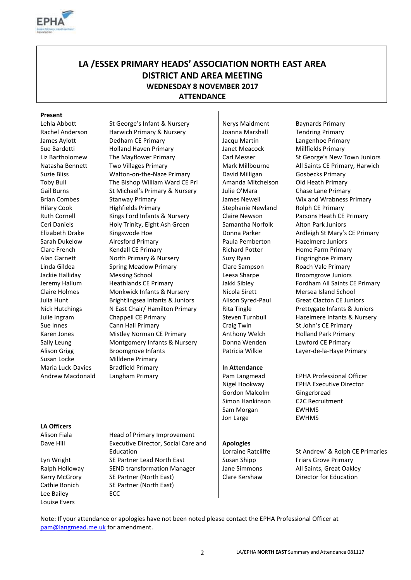

## **LA /ESSEX PRIMARY HEADS' ASSOCIATION NORTH EAST AREA DISTRICT AND AREA MEETING WEDNESDAY 8 NOVEMBER 2017 ATTENDANCE**

#### **Present**

Susan Locke Milldene Primary

Lehla Abbott St George's Infant & Nursery Nerys Maidment Baynards Primary Rachel Anderson Harwich Primary & Nursery | Joanna Marshall Tendring Primary James Aylott Dedham CE Primary Jacqu Martin Langenhoe Primary Sue Bardetti Holland Haven Primary Janet Meacock Millfields Primary Liz Bartholomew The Mayflower Primary | Carl Messer St George's New Town Juniors Natasha Bennett Two Villages Primary Mark Millbourne All Saints CE Primary, Harwich Suzie Bliss **Suzie Bliss** Walton-on-the-Naze Primary **David Milligan** Gosbecks Primary Toby Bull The Bishop William Ward CE Pri Amanda Mitchelson Old Heath Primary Gail Burns St Michael's Primary & Nursery Julie O'Mara Chase Lane Primary Brian Combes Stanway Primary Stanway Himary Summary Stanway Humary Stanway Primary Summary Stanway Rimary Summary Hilary Cook Highfields Primary Stephanie Newland Rolph CE Primary Ruth Cornell Kings Ford Infants & Nursery Claire Newson Parsons Heath CE Primary Ceri Daniels **Holy Trinity, Eight Ash Green** Samantha Norfolk Alton Park Juniors Elizabeth Drake Kingswode Hoe National Donna Parker Ardleigh St Mary's CE Primary Sarah Dukelow Alresford Primary Paula Pemberton Hazelmere Juniors Clare French Kendall CE Primary Richard Potter Home Farm Primary Alan Garnett **North Primary & Nursery Suzy Ryan** Suzy Ryan Fingringhoe Primary Linda Gildea Spring Meadow Primary Clare Sampson Roach Vale Primary Jackie Halliday Messing School **Leesa Sharpe** Broomgrove Juniors Jeremy Hallum Heathlands CE Primary Jakki Sibley Fordham All Saints CE Primary Claire Holmes Monkwick Infants & Nursery Nicola Sirett Mersea Island School Julia Hunt Brightlingsea Infants & Juniors | Alison Syred-Paul Great Clacton CE Juniors Nick Hutchings Nites Nites Nites Nick Hutchings Nites Nites Nites Nites Alexandry Rita Tingle Prettygate Infants & Juniors Julie Ingram Chappell CE Primary Steven Turnbull Hazelmere Infants & Nursery Sue Innes Cann Hall Primary Cann Hall Primary Craig Twin St John's CE Primary Karen Jones Mistley Norman CE Primary Anthony Welch Holland Park Primary Sally Leung **Montgomery Infants & Nursery** Donna Wenden Lawford CE Primary Alison Grigg Broomgrove Infants Patricia Wilkie Layer-de-la-Haye Primary Maria Luck-Davies Bradfield Primary **In Attendance** Andrew Macdonald Langham Primary **Pam Langmead** EPHA Professional Officer

Gordon Malcolm Gingerbread Simon Hankinson C2C Recruitment Sam Morgan **EWHMS** Jon Large **EWHMS** 

#### **Apologies**

Nigel Hookway EPHA Executive Director

#### **LA Officers**

Lee Bailey **ECC** Louise Evers

Alison Fiala **Head of Primary Improvement** Dave Hill Executive Director, Social Care and Education Lyn Wright SE Partner Lead North East Susan Shipp Friars Grove Primary Ralph Holloway SEND transformation Manager Jane Simmons All Saints, Great Oakley Kerry McGrory SE Partner (North East) Clare Kershaw Director for Education Cathie Bonich SE Partner (North East)

# Lorraine Ratcliffe St Andrew' & Rolph CE Primaries

Note: If your attendance or apologies have not been noted please contact the EPHA Professional Officer at [pam@langmead.me.uk](mailto:pam@langmead.me.uk) for amendment.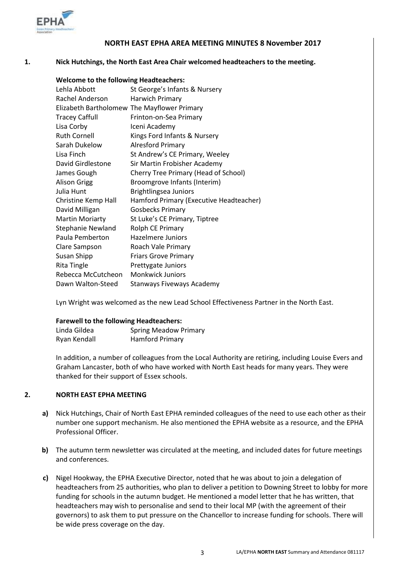

#### **NORTH EAST EPHA AREA MEETING MINUTES 8 November 2017**

#### **1. Nick Hutchings, the North East Area Chair welcomed headteachers to the meeting.**

| <b>Welcome to the following Headteachers:</b> |                                             |  |  |  |
|-----------------------------------------------|---------------------------------------------|--|--|--|
| Lehla Abbott                                  | St George's Infants & Nursery               |  |  |  |
| Rachel Anderson                               | Harwich Primary                             |  |  |  |
|                                               | Elizabeth Bartholomew The Mayflower Primary |  |  |  |
| <b>Tracey Caffull</b>                         | Frinton-on-Sea Primary                      |  |  |  |
| Lisa Corby                                    | Iceni Academy                               |  |  |  |
| <b>Ruth Cornell</b>                           | Kings Ford Infants & Nursery                |  |  |  |
| Sarah Dukelow                                 | <b>Alresford Primary</b>                    |  |  |  |
| Lisa Finch                                    | St Andrew's CE Primary, Weeley              |  |  |  |
| David Girdlestone                             | Sir Martin Frobisher Academy                |  |  |  |
| James Gough                                   | Cherry Tree Primary (Head of School)        |  |  |  |
| <b>Alison Grigg</b>                           | Broomgrove Infants (Interim)                |  |  |  |
| Julia Hunt                                    | Brightlingsea Juniors                       |  |  |  |
| Christine Kemp Hall                           | Hamford Primary (Executive Headteacher)     |  |  |  |
| David Milligan                                | <b>Gosbecks Primary</b>                     |  |  |  |
| <b>Martin Moriarty</b>                        | St Luke's CE Primary, Tiptree               |  |  |  |
| <b>Stephanie Newland</b>                      | Rolph CE Primary                            |  |  |  |
| Paula Pemberton                               | Hazelmere Juniors                           |  |  |  |
| Clare Sampson                                 | Roach Vale Primary                          |  |  |  |
| Susan Shipp                                   | <b>Friars Grove Primary</b>                 |  |  |  |
| Rita Tingle                                   | Prettygate Juniors                          |  |  |  |
| Rebecca McCutcheon                            | <b>Monkwick Juniors</b>                     |  |  |  |
| Dawn Walton-Steed                             | Stanways Fiveways Academy                   |  |  |  |

Lyn Wright was welcomed as the new Lead School Effectiveness Partner in the North East.

#### **Farewell to the following Headteachers:**

| Linda Gildea | <b>Spring Meadow Primary</b> |
|--------------|------------------------------|
| Ryan Kendall | <b>Hamford Primary</b>       |

In addition, a number of colleagues from the Local Authority are retiring, including Louise Evers and Graham Lancaster, both of who have worked with North East heads for many years. They were thanked for their support of Essex schools.

#### **2. NORTH EAST EPHA MEETING**

- **a)** Nick Hutchings, Chair of North East EPHA reminded colleagues of the need to use each other as their number one support mechanism. He also mentioned the EPHA website as a resource, and the EPHA Professional Officer.
- **b)** The autumn term newsletter was circulated at the meeting, and included dates for future meetings and conferences.
- **c)** Nigel Hookway, the EPHA Executive Director, noted that he was about to join a delegation of headteachers from 25 authorities, who plan to deliver a petition to Downing Street to lobby for more funding for schools in the autumn budget. He mentioned a model letter that he has written, that headteachers may wish to personalise and send to their local MP (with the agreement of their governors) to ask them to put pressure on the Chancellor to increase funding for schools. There will be wide press coverage on the day.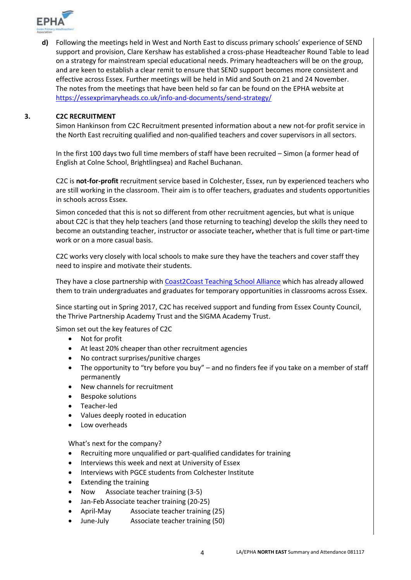

**d)** Following the meetings held in West and North East to discuss primary schools' experience of SEND support and provision, Clare Kershaw has established a cross-phase Headteacher Round Table to lead on a strategy for mainstream special educational needs. Primary headteachers will be on the group, and are keen to establish a clear remit to ensure that SEND support becomes more consistent and effective across Essex. Further meetings will be held in Mid and South on 21 and 24 November. The notes from the meetings that have been held so far can be found on the EPHA website at <https://essexprimaryheads.co.uk/info-and-documents/send-strategy/>

#### **3. C2C RECRUITMENT**

Simon Hankinson from C2C Recruitment presented information about a new not-for profit service in the North East recruiting qualified and non-qualified teachers and cover supervisors in all sectors.

In the first 100 days two full time members of staff have been recruited – Simon (a former head of English at Colne School, Brightlingsea) and Rachel Buchanan.

C2C is **not-for-profit** recruitment service based in Colchester, Essex, run by experienced teachers who are still working in the classroom. Their aim is to offer teachers, graduates and students opportunities in schools across Essex.

Simon conceded that this is not so different from other recruitment agencies, but what is unique about C2C is that they help teachers (and those returning to teaching) develop the skills they need to become an outstanding teacher, instructor or associate teacher**,** whether that is full time or part-time work or on a more casual basis.

C2C works very closely with local schools to make sure they have the teachers and cover staff they need to inspire and motivate their students.

They have a close partnership with [Coast2Coast Teaching School Alliance](https://www.coast2coast-tsa.co.uk/) which has already allowed them to train undergraduates and graduates for temporary opportunities in classrooms across Essex.

Since starting out in Spring 2017, C2C has received support and funding from Essex County Council, the Thrive Partnership Academy Trust and the SIGMA Academy Trust.

Simon set out the key features of C2C

- Not for profit
- At least 20% cheaper than other recruitment agencies
- No contract surprises/punitive charges
- The opportunity to "try before you buy" and no finders fee if you take on a member of staff permanently
- New channels for recruitment
- Bespoke solutions
- Teacher-led
- Values deeply rooted in education
- Low overheads

What's next for the company?

- Recruiting more unqualified or part-qualified candidates for training
- Interviews this week and next at University of Essex
- Interviews with PGCE students from Colchester Institute
- Extending the training
- Now Associate teacher training (3-5)
- Jan-Feb Associate teacher training (20-25)
- April-May Associate teacher training (25)
- June-July Associate teacher training (50)